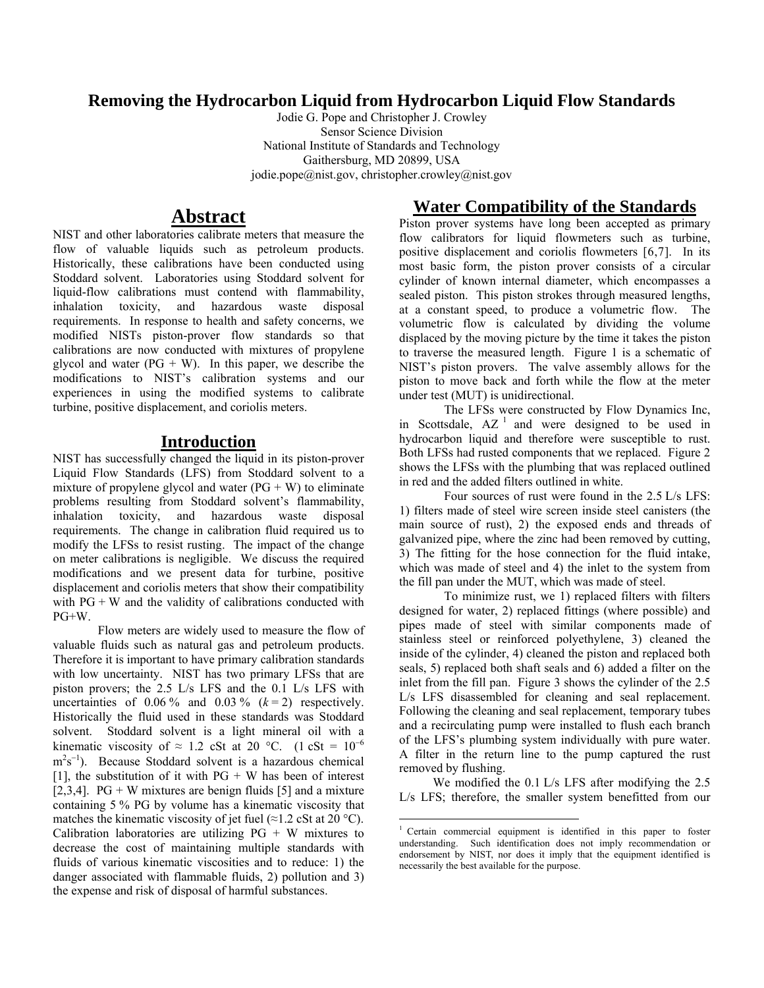### **Removing the Hydrocarbon Liquid from Hydrocarbon Liquid Flow Standards**

Jodie G. Pope and Christopher J. Crowley Sensor Science Division National Institute of Standards and Technology Gaithersburg, MD 20899, USA jodie.pope@nist.gov, christopher.crowley@nist.gov

## **Abstract**

NIST and other laboratories calibrate meters that measure the flow of valuable liquids such as petroleum products. Historically, these calibrations have been conducted using Stoddard solvent. Laboratories using Stoddard solvent for liquid-flow calibrations must contend with flammability, inhalation toxicity, and hazardous waste disposal requirements. In response to health and safety concerns, we modified NISTs piston-prover flow standards so that calibrations are now conducted with mixtures of propylene glycol and water  $(PG + W)$ . In this paper, we describe the modifications to NIST's calibration systems and our experiences in using the modified systems to calibrate turbine, positive displacement, and coriolis meters.

# **Introduction**

NIST has successfully changed the liquid in its piston-prover Liquid Flow Standards (LFS) from Stoddard solvent to a mixture of propylene glycol and water  $(PG + W)$  to eliminate problems resulting from Stoddard solvent's flammability, inhalation toxicity, and hazardous waste disposal requirements. The change in calibration fluid required us to modify the LFSs to resist rusting. The impact of the change on meter calibrations is negligible. We discuss the required modifications and we present data for turbine, positive displacement and coriolis meters that show their compatibility with  $PG + W$  and the validity of calibrations conducted with PG+W.

Flow meters are widely used to measure the flow of valuable fluids such as natural gas and petroleum products. Therefore it is important to have primary calibration standards with low uncertainty. NIST has two primary LFSs that are piston provers; the 2.5 L/s LFS and the 0.1 L/s LFS with uncertainties of  $0.06\%$  and  $0.03\%$   $(k=2)$  respectively. Historically the fluid used in these standards was Stoddard solvent. Stoddard solvent is a light mineral oil with a kinematic viscosity of  $\approx 1.2$  cSt at 20 °C. (1 cSt =  $10^{-6}$ )  $m<sup>2</sup>s<sup>-1</sup>$ ). Because Stoddard solvent is a hazardous chemical [1], the substitution of it with  $PG + W$  has been of interest [2,3,4]. PG + W mixtures are benign fluids [5] and a mixture containing 5 % PG by volume has a kinematic viscosity that matches the kinematic viscosity of jet fuel ( $\approx$ 1.2 cSt at 20 °C). Calibration laboratories are utilizing  $PG + W$  mixtures to decrease the cost of maintaining multiple standards with fluids of various kinematic viscosities and to reduce: 1) the danger associated with flammable fluids, 2) pollution and 3) the expense and risk of disposal of harmful substances.

## **Water Compatibility of the Standards**

Piston prover systems have long been accepted as primary flow calibrators for liquid flowmeters such as turbine, positive displacement and coriolis flowmeters [6,7]. In its most basic form, the piston prover consists of a circular cylinder of known internal diameter, which encompasses a sealed piston. This piston strokes through measured lengths, at a constant speed, to produce a volumetric flow. The volumetric flow is calculated by dividing the volume displaced by the moving picture by the time it takes the piston to traverse the measured length. Figure 1 is a schematic of NIST's piston provers. The valve assembly allows for the piston to move back and forth while the flow at the meter under test (MUT) is unidirectional.

The LFSs were constructed by Flow Dynamics Inc, in Scottsdale,  $AZ<sup>-1</sup>$  and were designed to be used in hydrocarbon liquid and therefore were susceptible to rust. Both LFSs had rusted components that we replaced. Figure 2 shows the LFSs with the plumbing that was replaced outlined in red and the added filters outlined in white.

Four sources of rust were found in the 2.5 L/s LFS: 1) filters made of steel wire screen inside steel canisters (the main source of rust), 2) the exposed ends and threads of galvanized pipe, where the zinc had been removed by cutting, 3) The fitting for the hose connection for the fluid intake, which was made of steel and 4) the inlet to the system from the fill pan under the MUT, which was made of steel.

To minimize rust, we 1) replaced filters with filters designed for water, 2) replaced fittings (where possible) and pipes made of steel with similar components made of stainless steel or reinforced polyethylene, 3) cleaned the inside of the cylinder, 4) cleaned the piston and replaced both seals, 5) replaced both shaft seals and 6) added a filter on the inlet from the fill pan. Figure 3 shows the cylinder of the 2.5 L/s LFS disassembled for cleaning and seal replacement. Following the cleaning and seal replacement, temporary tubes and a recirculating pump were installed to flush each branch of the LFS's plumbing system individually with pure water. A filter in the return line to the pump captured the rust removed by flushing.

 We modified the 0.1 L/s LFS after modifying the 2.5 L/s LFS; therefore, the smaller system benefitted from our

 <sup>1</sup> Certain commercial equipment is identified in this paper to foster understanding. Such identification does not imply recommendation or endorsement by NIST, nor does it imply that the equipment identified is necessarily the best available for the purpose.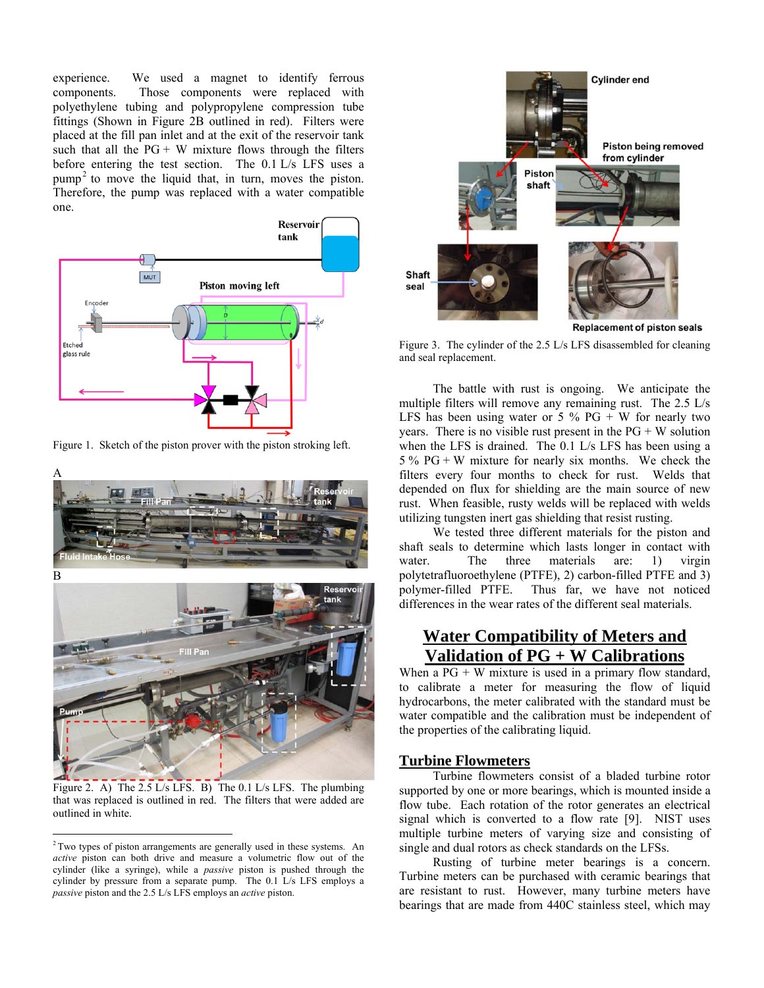experience. We used a magnet to identify ferrous components. Those components were replaced with polyethylene tubing and polypropylene compression tube fittings (Shown in Figure 2B outlined in red). Filters were placed at the fill pan inlet and at the exit of the reservoir tank such that all the  $PG + W$  mixture flows through the filters before entering the test section. The 0.1 L/s LFS uses a  $pump<sup>2</sup>$  to move the liquid that, in turn, moves the piston. Therefore, the pump was replaced with a water compatible one.



Figure 1. Sketch of the piston prover with the piston stroking left.



Figure 2. A) The 2.5 L/s LFS. B) The 0.1 L/s LFS. The plumbing that was replaced is outlined in red. The filters that were added are outlined in white.



Figure 3. The cylinder of the 2.5 L/s LFS disassembled for cleaning and seal replacement.

 The battle with rust is ongoing. We anticipate the multiple filters will remove any remaining rust. The 2.5 L/s LFS has been using water or  $5\%$  PG + W for nearly two years. There is no visible rust present in the  $PG + W$  solution when the LFS is drained. The 0.1 L/s LFS has been using a  $5\%$  PG + W mixture for nearly six months. We check the filters every four months to check for rust. Welds that depended on flux for shielding are the main source of new rust. When feasible, rusty welds will be replaced with welds utilizing tungsten inert gas shielding that resist rusting.

 We tested three different materials for the piston and shaft seals to determine which lasts longer in contact with water. The three materials are: 1) virgin polytetrafluoroethylene (PTFE), 2) carbon-filled PTFE and 3) polymer-filled PTFE. Thus far, we have not noticed differences in the wear rates of the different seal materials.

## **Water Compatibility of Meters and Validation of PG + W Calibrations**

When a  $PG + W$  mixture is used in a primary flow standard, to calibrate a meter for measuring the flow of liquid hydrocarbons, the meter calibrated with the standard must be water compatible and the calibration must be independent of the properties of the calibrating liquid.

### **Turbine Flowmeters**

 Turbine flowmeters consist of a bladed turbine rotor supported by one or more bearings, which is mounted inside a flow tube. Each rotation of the rotor generates an electrical signal which is converted to a flow rate [9]. NIST uses multiple turbine meters of varying size and consisting of single and dual rotors as check standards on the LFSs.

 Rusting of turbine meter bearings is a concern. Turbine meters can be purchased with ceramic bearings that are resistant to rust. However, many turbine meters have bearings that are made from 440C stainless steel, which may

<sup>&</sup>lt;sup>2</sup> Two types of piston arrangements are generally used in these systems. An *active* piston can both drive and measure a volumetric flow out of the cylinder (like a syringe), while a *passive* piston is pushed through the cylinder by pressure from a separate pump. The 0.1 L/s LFS employs a *passive* piston and the 2.5 L/s LFS employs an *active* piston.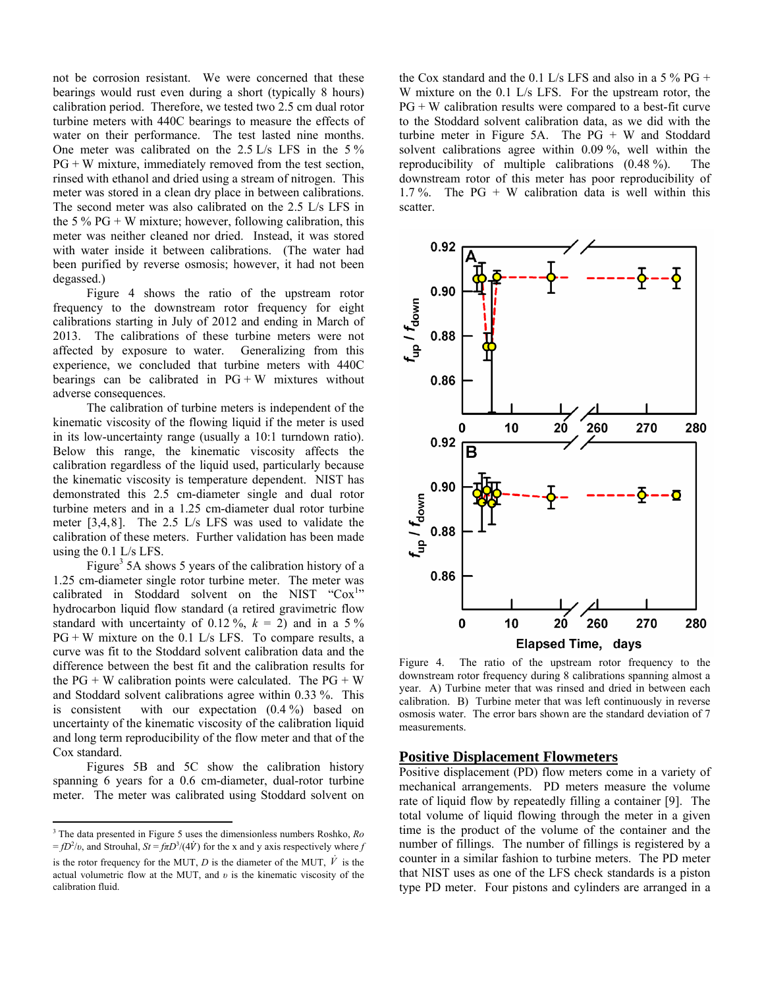not be corrosion resistant. We were concerned that these bearings would rust even during a short (typically 8 hours) calibration period. Therefore, we tested two 2.5 cm dual rotor turbine meters with 440C bearings to measure the effects of water on their performance. The test lasted nine months. One meter was calibrated on the 2.5 L/s LFS in the 5 %  $PG + W$  mixture, immediately removed from the test section, rinsed with ethanol and dried using a stream of nitrogen. This meter was stored in a clean dry place in between calibrations. The second meter was also calibrated on the 2.5 L/s LFS in the 5 %  $PG + W$  mixture; however, following calibration, this meter was neither cleaned nor dried. Instead, it was stored with water inside it between calibrations. (The water had been purified by reverse osmosis; however, it had not been degassed.)

 Figure 4 shows the ratio of the upstream rotor frequency to the downstream rotor frequency for eight calibrations starting in July of 2012 and ending in March of 2013. The calibrations of these turbine meters were not affected by exposure to water. Generalizing from this experience, we concluded that turbine meters with 440C bearings can be calibrated in  $PG + W$  mixtures without adverse consequences.

 The calibration of turbine meters is independent of the kinematic viscosity of the flowing liquid if the meter is used in its low-uncertainty range (usually a 10:1 turndown ratio). Below this range, the kinematic viscosity affects the calibration regardless of the liquid used, particularly because the kinematic viscosity is temperature dependent. NIST has demonstrated this 2.5 cm-diameter single and dual rotor turbine meters and in a 1.25 cm-diameter dual rotor turbine meter [3,4,8]. The 2.5 L/s LFS was used to validate the calibration of these meters. Further validation has been made using the 0.1 L/s LFS.

Figure<sup>3</sup> 5A shows 5 years of the calibration history of a 1.25 cm-diameter single rotor turbine meter. The meter was calibrated in Stoddard solvent on the NIST " $\text{Cox}^{1}_{1}$ " hydrocarbon liquid flow standard (a retired gravimetric flow standard with uncertainty of 0.12 %,  $k = 2$ ) and in a 5 %  $PG + W$  mixture on the 0.1 L/s LFS. To compare results, a curve was fit to the Stoddard solvent calibration data and the difference between the best fit and the calibration results for the  $PG + W$  calibration points were calculated. The  $PG + W$ and Stoddard solvent calibrations agree within 0.33 %. This is consistent with our expectation (0.4 %) based on uncertainty of the kinematic viscosity of the calibration liquid and long term reproducibility of the flow meter and that of the Cox standard.

 Figures 5B and 5C show the calibration history spanning 6 years for a 0.6 cm-diameter, dual-rotor turbine meter. The meter was calibrated using Stoddard solvent on

the Cox standard and the 0.1 L/s LFS and also in a  $5\%$  PG + W mixture on the 0.1 L/s LFS. For the upstream rotor, the  $PG + W$  calibration results were compared to a best-fit curve to the Stoddard solvent calibration data, as we did with the turbine meter in Figure 5A. The  $PG + W$  and Stoddard solvent calibrations agree within 0.09 %, well within the reproducibility of multiple calibrations (0.48 %). The downstream rotor of this meter has poor reproducibility of 1.7 %. The  $PG + W$  calibration data is well within this scatter.



Figure 4. The ratio of the upstream rotor frequency to the downstream rotor frequency during 8 calibrations spanning almost a year. A) Turbine meter that was rinsed and dried in between each calibration. B) Turbine meter that was left continuously in reverse osmosis water. The error bars shown are the standard deviation of 7 measurements.

#### **Positive Displacement Flowmeters**

Positive displacement (PD) flow meters come in a variety of mechanical arrangements. PD meters measure the volume rate of liquid flow by repeatedly filling a container [9]. The total volume of liquid flowing through the meter in a given time is the product of the volume of the container and the number of fillings. The number of fillings is registered by a counter in a similar fashion to turbine meters. The PD meter that NIST uses as one of the LFS check standards is a piston type PD meter. Four pistons and cylinders are arranged in a

<sup>3</sup> The data presented in Figure 5 uses the dimensionless numbers Roshko, *Ro*  $=fD^2/v$ , and Strouhal,  $St = f\pi D^3/(4\dot{V})$  for the x and y axis respectively where *f* is the rotor frequency for the MUT,  $D$  is the diameter of the MUT,  $\dot{V}$  is the actual volumetric flow at the MUT, and *υ* is the kinematic viscosity of the calibration fluid.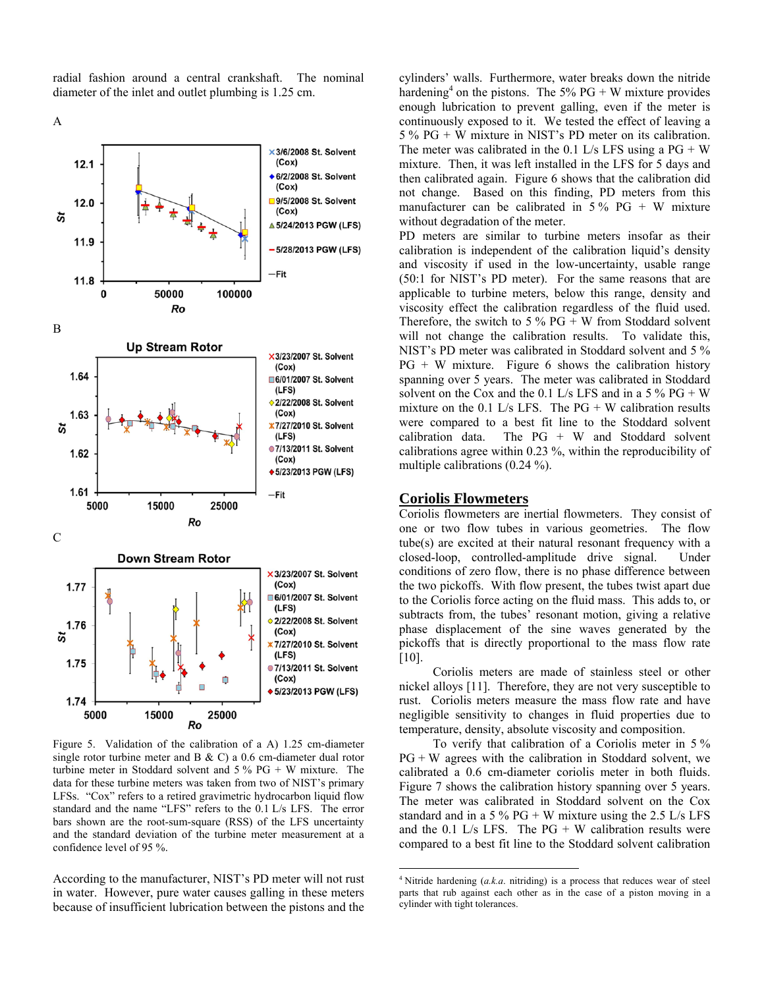radial fashion around a central crankshaft. The nominal diameter of the inlet and outlet plumbing is 1.25 cm.

A



Figure 5. Validation of the calibration of a A) 1.25 cm-diameter single rotor turbine meter and B & C) a 0.6 cm-diameter dual rotor turbine meter in Stoddard solvent and 5 % PG + W mixture. The data for these turbine meters was taken from two of NIST's primary LFSs. "Cox" refers to a retired gravimetric hydrocarbon liquid flow standard and the name "LFS" refers to the 0.1 L/s LFS. The error bars shown are the root-sum-square (RSS) of the LFS uncertainty and the standard deviation of the turbine meter measurement at a confidence level of 95 %.

According to the manufacturer, NIST's PD meter will not rust in water. However, pure water causes galling in these meters because of insufficient lubrication between the pistons and the

cylinders' walls. Furthermore, water breaks down the nitride hardening<sup>4</sup> on the pistons. The 5% PG + W mixture provides enough lubrication to prevent galling, even if the meter is continuously exposed to it. We tested the effect of leaving a 5 % PG + W mixture in NIST's PD meter on its calibration. The meter was calibrated in the 0.1 L/s LFS using a  $PG + W$ mixture. Then, it was left installed in the LFS for 5 days and then calibrated again. Figure 6 shows that the calibration did not change. Based on this finding, PD meters from this manufacturer can be calibrated in  $5\%$  PG + W mixture without degradation of the meter.

PD meters are similar to turbine meters insofar as their calibration is independent of the calibration liquid's density and viscosity if used in the low-uncertainty, usable range (50:1 for NIST's PD meter). For the same reasons that are applicable to turbine meters, below this range, density and viscosity effect the calibration regardless of the fluid used. Therefore, the switch to 5  $\%$  PG + W from Stoddard solvent will not change the calibration results. To validate this, NIST's PD meter was calibrated in Stoddard solvent and 5 %  $PG + W$  mixture. Figure 6 shows the calibration history spanning over 5 years. The meter was calibrated in Stoddard solvent on the Cox and the 0.1 L/s LFS and in a  $5\%$  PG + W mixture on the 0.1 L/s LFS. The  $PG + W$  calibration results were compared to a best fit line to the Stoddard solvent calibration data. The PG + W and Stoddard solvent calibrations agree within 0.23 %, within the reproducibility of multiple calibrations (0.24 %).

#### **Coriolis Flowmeters**

Coriolis flowmeters are inertial flowmeters. They consist of one or two flow tubes in various geometries. The flow tube(s) are excited at their natural resonant frequency with a closed-loop, controlled-amplitude drive signal. Under conditions of zero flow, there is no phase difference between the two pickoffs. With flow present, the tubes twist apart due to the Coriolis force acting on the fluid mass. This adds to, or subtracts from, the tubes' resonant motion, giving a relative phase displacement of the sine waves generated by the pickoffs that is directly proportional to the mass flow rate [10].

 Coriolis meters are made of stainless steel or other nickel alloys [11]. Therefore, they are not very susceptible to rust. Coriolis meters measure the mass flow rate and have negligible sensitivity to changes in fluid properties due to temperature, density, absolute viscosity and composition.

 To verify that calibration of a Coriolis meter in 5 %  $PG + W$  agrees with the calibration in Stoddard solvent, we calibrated a 0.6 cm-diameter coriolis meter in both fluids. Figure 7 shows the calibration history spanning over 5 years. The meter was calibrated in Stoddard solvent on the Cox standard and in a 5 %  $PG + W$  mixture using the 2.5 L/s LFS and the  $0.1$  L/s LFS. The PG + W calibration results were compared to a best fit line to the Stoddard solvent calibration

<sup>&</sup>lt;sup>4</sup> Nitride hardening  $(a,k,a)$  nitriding) is a process that reduces wear of steel parts that rub against each other as in the case of a piston moving in a cylinder with tight tolerances.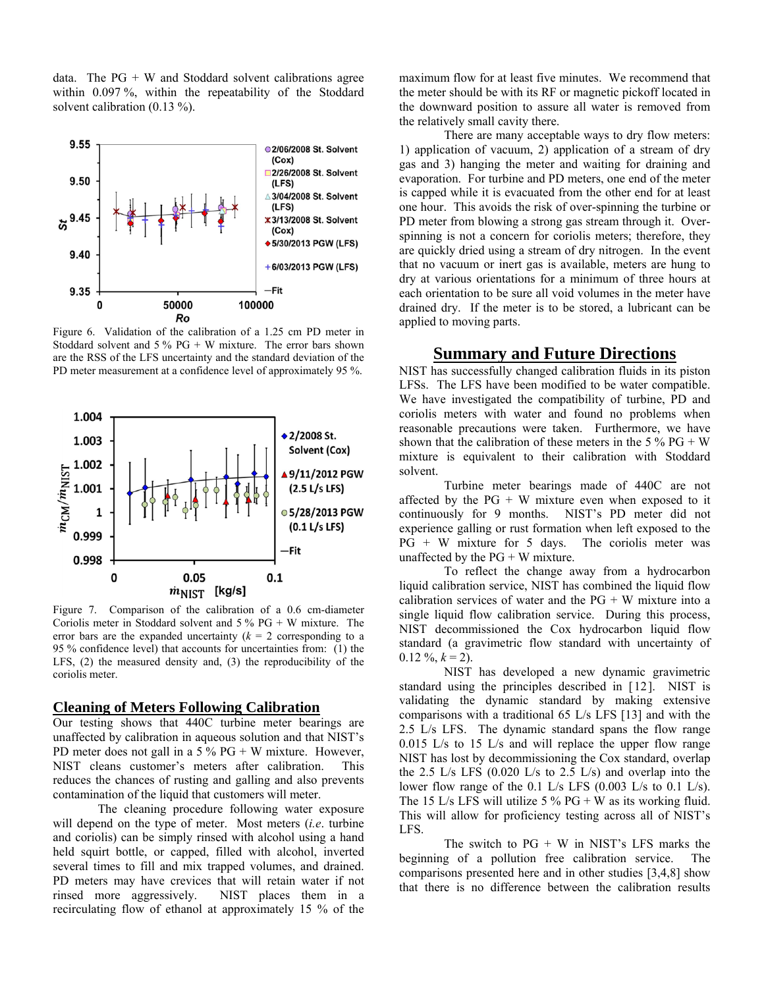data. The  $PG + W$  and Stoddard solvent calibrations agree within 0.097 %, within the repeatability of the Stoddard solvent calibration (0.13 %).



Figure 6. Validation of the calibration of a 1.25 cm PD meter in Stoddard solvent and  $5\%$  PG + W mixture. The error bars shown are the RSS of the LFS uncertainty and the standard deviation of the PD meter measurement at a confidence level of approximately 95 %.



Figure 7. Comparison of the calibration of a 0.6 cm-diameter Coriolis meter in Stoddard solvent and  $5\%$  PG + W mixture. The error bars are the expanded uncertainty  $(k = 2$  corresponding to a 95 % confidence level) that accounts for uncertainties from: (1) the LFS, (2) the measured density and, (3) the reproducibility of the coriolis meter.

#### **Cleaning of Meters Following Calibration**

Our testing shows that 440C turbine meter bearings are unaffected by calibration in aqueous solution and that NIST's PD meter does not gall in a  $5\%$  PG + W mixture. However, NIST cleans customer's meters after calibration. This reduces the chances of rusting and galling and also prevents contamination of the liquid that customers will meter.

The cleaning procedure following water exposure will depend on the type of meter. Most meters (*i.e*. turbine and coriolis) can be simply rinsed with alcohol using a hand held squirt bottle, or capped, filled with alcohol, inverted several times to fill and mix trapped volumes, and drained. PD meters may have crevices that will retain water if not rinsed more aggressively. NIST places them in a recirculating flow of ethanol at approximately 15 % of the

maximum flow for at least five minutes. We recommend that the meter should be with its RF or magnetic pickoff located in the downward position to assure all water is removed from the relatively small cavity there.

There are many acceptable ways to dry flow meters: 1) application of vacuum, 2) application of a stream of dry gas and 3) hanging the meter and waiting for draining and evaporation. For turbine and PD meters, one end of the meter is capped while it is evacuated from the other end for at least one hour. This avoids the risk of over-spinning the turbine or PD meter from blowing a strong gas stream through it. Overspinning is not a concern for coriolis meters; therefore, they are quickly dried using a stream of dry nitrogen. In the event that no vacuum or inert gas is available, meters are hung to dry at various orientations for a minimum of three hours at each orientation to be sure all void volumes in the meter have drained dry. If the meter is to be stored, a lubricant can be applied to moving parts.

### **Summary and Future Directions**

NIST has successfully changed calibration fluids in its piston LFSs. The LFS have been modified to be water compatible. We have investigated the compatibility of turbine, PD and coriolis meters with water and found no problems when reasonable precautions were taken. Furthermore, we have shown that the calibration of these meters in the  $5\%$  PG + W mixture is equivalent to their calibration with Stoddard solvent.

Turbine meter bearings made of 440C are not affected by the  $PG + W$  mixture even when exposed to it continuously for 9 months. NIST's PD meter did not experience galling or rust formation when left exposed to the  $PG + W$  mixture for 5 days. The coriolis meter was unaffected by the  $PG + W$  mixture.

To reflect the change away from a hydrocarbon liquid calibration service, NIST has combined the liquid flow calibration services of water and the  $PG + W$  mixture into a single liquid flow calibration service. During this process, NIST decommissioned the Cox hydrocarbon liquid flow standard (a gravimetric flow standard with uncertainty of  $0.12 \%$ ,  $k = 2$ ).

NIST has developed a new dynamic gravimetric standard using the principles described in [12]. NIST is validating the dynamic standard by making extensive comparisons with a traditional 65 L/s LFS [13] and with the 2.5 L/s LFS. The dynamic standard spans the flow range 0.015 L/s to 15 L/s and will replace the upper flow range NIST has lost by decommissioning the Cox standard, overlap the  $2.5$  L/s LFS (0.020 L/s to  $2.5$  L/s) and overlap into the lower flow range of the 0.1 L/s LFS  $(0.003$  L/s to 0.1 L/s). The 15 L/s LFS will utilize 5 % PG + W as its working fluid. This will allow for proficiency testing across all of NIST's LFS.

The switch to  $PG + W$  in NIST's LFS marks the beginning of a pollution free calibration service. The comparisons presented here and in other studies [3,4,8] show that there is no difference between the calibration results